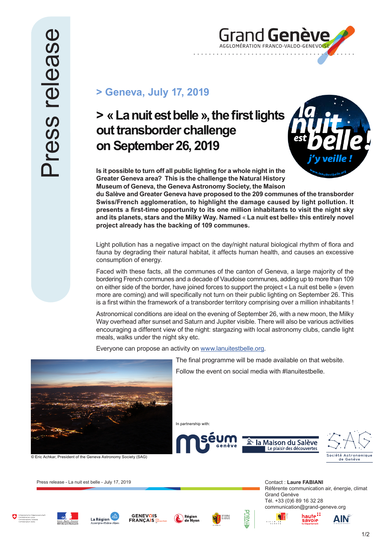

## **> Geneva, July 17, 2019**

## **> « La nuit est belle », the first lights out transborder challenge on September 26, 2019**



**Is it possible to turn off all public lighting for a whole night in the Greater Geneva area? This is the challenge the Natural History Museum of Geneva, the Geneva Astronomy Society, the Maison** 

**du Salève and Greater Geneva have proposed to the 209 communes of the transborder Swiss/French agglomeration, to highlight the damage caused by light pollution. It presents a first-time opportunity to its one million inhabitants to visit the night sky and its planets, stars and the Milky Way. Named** « **La nuit est belle**» **this entirely novel project already has the backing of 109 communes.** 

Light pollution has a negative impact on the day/night natural biological rhythm of flora and fauna by degrading their natural habitat, it affects human health, and causes an excessive consumption of energy.

Faced with these facts, all the communes of the canton of Geneva, a large majority of the bordering French communes and a decade of Vaudoise communes, adding up to more than 109 on either side of the border, have joined forces to support the project « La nuit est belle » (even more are coming) and will specifically not turn on their public lighting on September 26. This is a first within the framework of a transborder territory comprising over a million inhabitants !

Astronomical conditions are ideal on the evening of September 26, with a new moon, the Milky Way overhead after sunset and Saturn and Jupiter visible. There will also be various activities encouraging a different view of the night: stargazing with local astronomy clubs, candle light meals, walks under the night sky etc.

Everyone can propose an activity on www.lanuitestbelle.org.



© Eric Achkar, President of the Geneva Astronomy Society (SAG)

Press release - La nuit est belle - July 17, 2019 **Contact : Laure FABIANI** Contact : Laure FABIANI

The final programme will be made available on that website.

Follow the event on social media with #lanuitestbelle.





a i



AlN

















avoje: